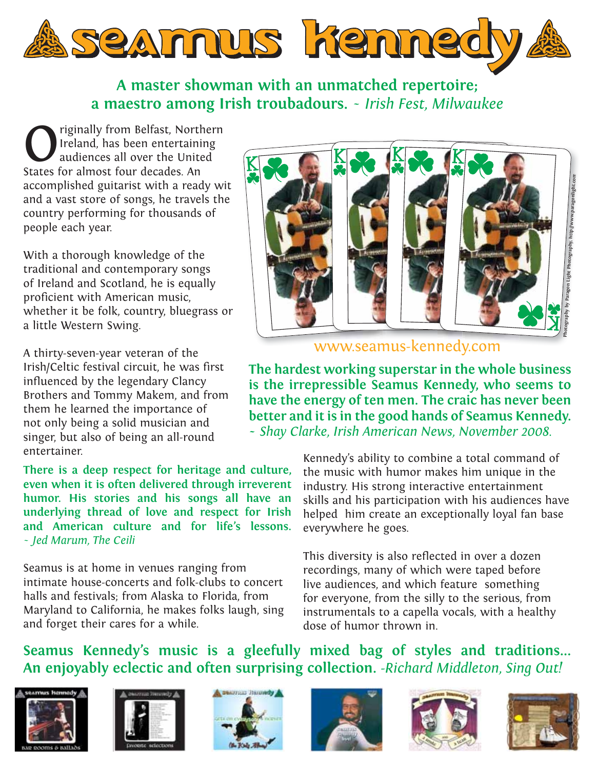

#### **A master showman with an unmatched repertoire; a maestro among Irish troubadours.** *~ Irish Fest, Milwaukee*

**Calculary States States for almost four decades And States for almost four decades And States for almost four decades And States for almost four decades And States for almost four decades And States for almost four decade** Ireland, has been entertaining audiences all over the United States for almost four decades. An accomplished guitarist with a ready wit and a vast store of songs, he travels the country performing for thousands of people each year.

With a thorough knowledge of the traditional and contemporary songs of Ireland and Scotland, he is equally proficient with American music, whether it be folk, country, bluegrass or a little Western Swing.

A thirty-seven-year veteran of the Irish/Celtic festival circuit, he was first influenced by the legendary Clancy Brothers and Tommy Makem, and from them he learned the importance of not only being a solid musician and singer, but also of being an all-round entertainer.

**There is a deep respect for heritage and culture, even when it is often delivered through irreverent humor. His stories and his songs all have an underlying thread of love and respect for Irish and American culture and for life's lessons.** *~ Jed Marum, The Ceili*

Seamus is at home in venues ranging from intimate house-concerts and folk-clubs to concert halls and festivals; from Alaska to Florida, from Maryland to California, he makes folks laugh, sing and forget their cares for a while.



www.seamus-kennedy.com www seam k nedy com

**The hardest working superstar in the whole business is the irrepressible Seamus Kennedy, who seems to have the energy of ten men. The craic has never been better and it is in the good hands of Seamus Kennedy. ~** *Shay Clarke, Irish American News, November 2008.*

> Kennedy's ability to combine a total command of the music with humor makes him unique in the industry. His strong interactive entertainment skills and his participation with his audiences have helped him create an exceptionally loyal fan base everywhere he goes.

This diversity is also reflected in over a dozen recordings, many of which were taped before live audiences, and which feature something for everyone, from the silly to the serious, from instrumentals to a capella vocals, with a healthy dose of humor thrown in.

#### **Seamus Kennedy's music is a gleefully mixed bag of styles and traditions... An enjoyably eclectic and often surprising collection.** *-Richard Middleton, Sing Out!*